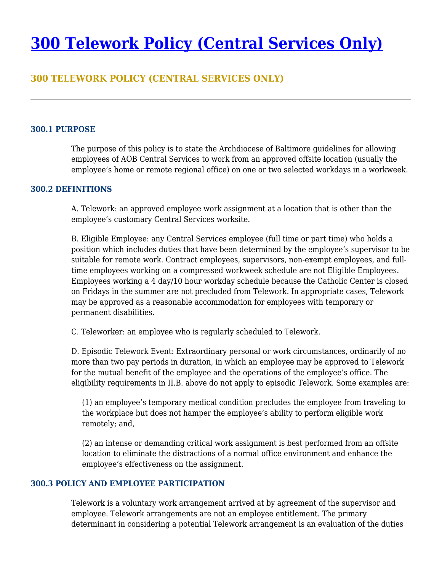# **[300 Telework Policy \(Central Services Only\)](https://policy.archbalt.org/human-resources/300-telework-policy-central-services-only/)**

# **300 TELEWORK POLICY (CENTRAL SERVICES ONLY)**

## **300.1 PURPOSE**

The purpose of this policy is to state the Archdiocese of Baltimore guidelines for allowing employees of AOB Central Services to work from an approved offsite location (usually the employee's home or remote regional office) on one or two selected workdays in a workweek.

#### **300.2 DEFINITIONS**

A. Telework: an approved employee work assignment at a location that is other than the employee's customary Central Services worksite.

B. Eligible Employee: any Central Services employee (full time or part time) who holds a position which includes duties that have been determined by the employee's supervisor to be suitable for remote work. Contract employees, supervisors, non-exempt employees, and fulltime employees working on a compressed workweek schedule are not Eligible Employees. Employees working a 4 day/10 hour workday schedule because the Catholic Center is closed on Fridays in the summer are not precluded from Telework. In appropriate cases, Telework may be approved as a reasonable accommodation for employees with temporary or permanent disabilities.

C. Teleworker: an employee who is regularly scheduled to Telework.

D. Episodic Telework Event: Extraordinary personal or work circumstances, ordinarily of no more than two pay periods in duration, in which an employee may be approved to Telework for the mutual benefit of the employee and the operations of the employee's office. The eligibility requirements in II.B. above do not apply to episodic Telework. Some examples are:

(1) an employee's temporary medical condition precludes the employee from traveling to the workplace but does not hamper the employee's ability to perform eligible work remotely; and,

(2) an intense or demanding critical work assignment is best performed from an offsite location to eliminate the distractions of a normal office environment and enhance the employee's effectiveness on the assignment.

## **300.3 POLICY AND EMPLOYEE PARTICIPATION**

Telework is a voluntary work arrangement arrived at by agreement of the supervisor and employee. Telework arrangements are not an employee entitlement. The primary determinant in considering a potential Telework arrangement is an evaluation of the duties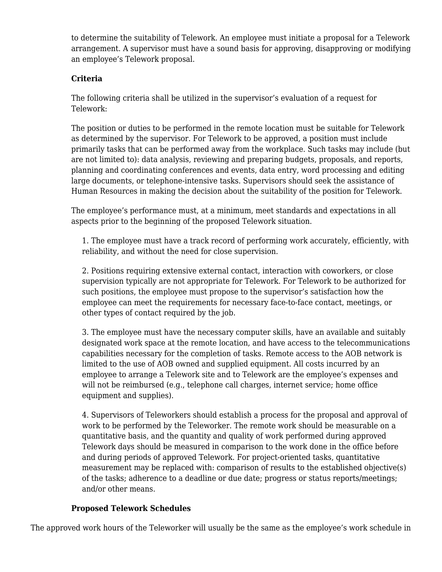to determine the suitability of Telework. An employee must initiate a proposal for a Telework arrangement. A supervisor must have a sound basis for approving, disapproving or modifying an employee's Telework proposal.

# **Criteria**

The following criteria shall be utilized in the supervisor's evaluation of a request for Telework:

The position or duties to be performed in the remote location must be suitable for Telework as determined by the supervisor. For Telework to be approved, a position must include primarily tasks that can be performed away from the workplace. Such tasks may include (but are not limited to): data analysis, reviewing and preparing budgets, proposals, and reports, planning and coordinating conferences and events, data entry, word processing and editing large documents, or telephone-intensive tasks. Supervisors should seek the assistance of Human Resources in making the decision about the suitability of the position for Telework.

The employee's performance must, at a minimum, meet standards and expectations in all aspects prior to the beginning of the proposed Telework situation.

1. The employee must have a track record of performing work accurately, efficiently, with reliability, and without the need for close supervision.

2. Positions requiring extensive external contact, interaction with coworkers, or close supervision typically are not appropriate for Telework. For Telework to be authorized for such positions, the employee must propose to the supervisor's satisfaction how the employee can meet the requirements for necessary face-to-face contact, meetings, or other types of contact required by the job.

3. The employee must have the necessary computer skills, have an available and suitably designated work space at the remote location, and have access to the telecommunications capabilities necessary for the completion of tasks. Remote access to the AOB network is limited to the use of AOB owned and supplied equipment. All costs incurred by an employee to arrange a Telework site and to Telework are the employee's expenses and will not be reimbursed (e.g., telephone call charges, internet service; home office equipment and supplies).

4. Supervisors of Teleworkers should establish a process for the proposal and approval of work to be performed by the Teleworker. The remote work should be measurable on a quantitative basis, and the quantity and quality of work performed during approved Telework days should be measured in comparison to the work done in the office before and during periods of approved Telework. For project-oriented tasks, quantitative measurement may be replaced with: comparison of results to the established objective(s) of the tasks; adherence to a deadline or due date; progress or status reports/meetings; and/or other means.

# **Proposed Telework Schedules**

The approved work hours of the Teleworker will usually be the same as the employee's work schedule in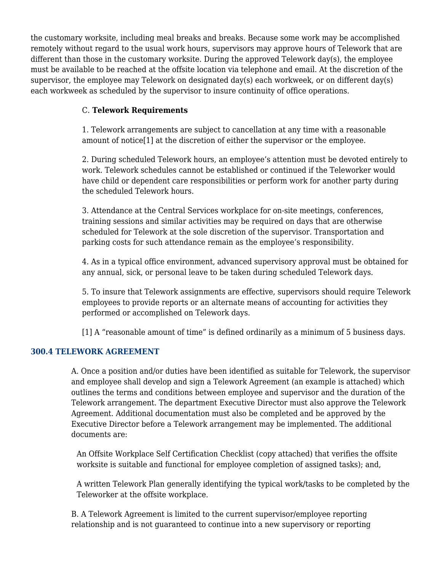the customary worksite, including meal breaks and breaks. Because some work may be accomplished remotely without regard to the usual work hours, supervisors may approve hours of Telework that are different than those in the customary worksite. During the approved Telework day(s), the employee must be available to be reached at the offsite location via telephone and email. At the discretion of the supervisor, the employee may Telework on designated day(s) each workweek, or on different day(s) each workweek as scheduled by the supervisor to insure continuity of office operations.

# C. **Telework Requirements**

1. Telework arrangements are subject to cancellation at any time with a reasonable amount of notice[1] at the discretion of either the supervisor or the employee.

2. During scheduled Telework hours, an employee's attention must be devoted entirely to work. Telework schedules cannot be established or continued if the Teleworker would have child or dependent care responsibilities or perform work for another party during the scheduled Telework hours.

3. Attendance at the Central Services workplace for on-site meetings, conferences, training sessions and similar activities may be required on days that are otherwise scheduled for Telework at the sole discretion of the supervisor. Transportation and parking costs for such attendance remain as the employee's responsibility.

4. As in a typical office environment, advanced supervisory approval must be obtained for any annual, sick, or personal leave to be taken during scheduled Telework days.

5. To insure that Telework assignments are effective, supervisors should require Telework employees to provide reports or an alternate means of accounting for activities they performed or accomplished on Telework days.

[1] A "reasonable amount of time" is defined ordinarily as a minimum of 5 business days.

# **300.4 TELEWORK AGREEMENT**

A. Once a position and/or duties have been identified as suitable for Telework, the supervisor and employee shall develop and sign a Telework Agreement (an example is attached) which outlines the terms and conditions between employee and supervisor and the duration of the Telework arrangement. The department Executive Director must also approve the Telework Agreement. Additional documentation must also be completed and be approved by the Executive Director before a Telework arrangement may be implemented. The additional documents are:

An Offsite Workplace Self Certification Checklist (copy attached) that verifies the offsite worksite is suitable and functional for employee completion of assigned tasks); and,

A written Telework Plan generally identifying the typical work/tasks to be completed by the Teleworker at the offsite workplace.

B. A Telework Agreement is limited to the current supervisor/employee reporting relationship and is not guaranteed to continue into a new supervisory or reporting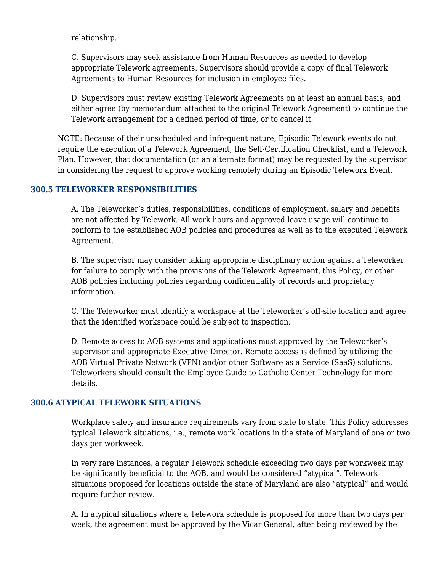relationship.

C. Supervisors may seek assistance from Human Resources as needed to develop appropriate Telework agreements. Supervisors should provide a copy of final Telework Agreements to Human Resources for inclusion in employee files.

D. Supervisors must review existing Telework Agreements on at least an annual basis, and either agree (by memorandum attached to the original Telework Agreement) to continue the Telework arrangement for a defined period of time, or to cancel it.

NOTE: Because of their unscheduled and infrequent nature, Episodic Telework events do not require the execution of a Telework Agreement, the Self-Certification Checklist, and a Telework Plan. However, that documentation (or an alternate format) may be requested by the supervisor in considering the request to approve working remotely during an Episodic Telework Event.

## **300.5 TELEWORKER RESPONSIBILITIES**

A. The Teleworker's duties, responsibilities, conditions of employment, salary and benefits are not affected by Telework. All work hours and approved leave usage will continue to conform to the established AOB policies and procedures as well as to the executed Telework Agreement.

B. The supervisor may consider taking appropriate disciplinary action against a Teleworker for failure to comply with the provisions of the Telework Agreement, this Policy, or other AOB policies including policies regarding confidentiality of records and proprietary information.

C. The Teleworker must identify a workspace at the Teleworker's off-site location and agree that the identified workspace could be subject to inspection.

D. Remote access to AOB systems and applications must approved by the Teleworker's supervisor and appropriate Executive Director. Remote access is defined by utilizing the AOB Virtual Private Network (VPN) and/or other Software as a Service (SaaS) solutions. Teleworkers should consult the Employee Guide to Catholic Center Technology for more details.

# **300.6 ATYPICAL TELEWORK SITUATIONS**

Workplace safety and insurance requirements vary from state to state. This Policy addresses typical Telework situations, i.e., remote work locations in the state of Maryland of one or two days per workweek.

In very rare instances, a regular Telework schedule exceeding two days per workweek may be significantly beneficial to the AOB, and would be considered "atypical". Telework situations proposed for locations outside the state of Maryland are also "atypical" and would require further review.

A. In atypical situations where a Telework schedule is proposed for more than two days per week, the agreement must be approved by the Vicar General, after being reviewed by the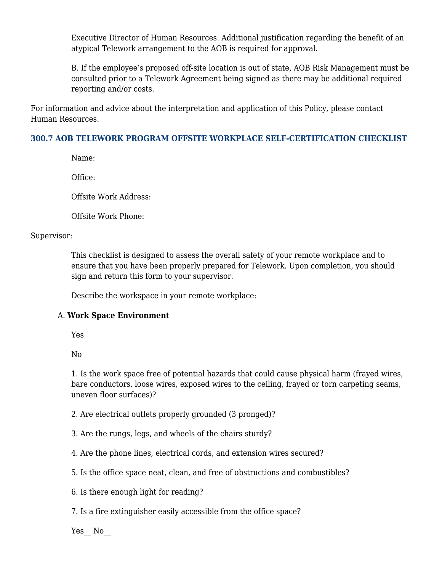Executive Director of Human Resources. Additional justification regarding the benefit of an atypical Telework arrangement to the AOB is required for approval.

B. If the employee's proposed off-site location is out of state, AOB Risk Management must be consulted prior to a Telework Agreement being signed as there may be additional required reporting and/or costs.

For information and advice about the interpretation and application of this Policy, please contact Human Resources.

# **300.7 AOB TELEWORK PROGRAM OFFSITE WORKPLACE SELF-CERTIFICATION CHECKLIST**

Name:

Office:

Offsite Work Address:

Offsite Work Phone:

## Supervisor:

This checklist is designed to assess the overall safety of your remote workplace and to ensure that you have been properly prepared for Telework. Upon completion, you should sign and return this form to your supervisor.

Describe the workspace in your remote workplace:

# A. **Work Space Environment**

Yes

No

1. Is the work space free of potential hazards that could cause physical harm (frayed wires, bare conductors, loose wires, exposed wires to the ceiling, frayed or torn carpeting seams, uneven floor surfaces)?

2. Are electrical outlets properly grounded (3 pronged)?

3. Are the rungs, legs, and wheels of the chairs sturdy?

4. Are the phone lines, electrical cords, and extension wires secured?

5. Is the office space neat, clean, and free of obstructions and combustibles?

6. Is there enough light for reading?

7. Is a fire extinguisher easily accessible from the office space?

Yes No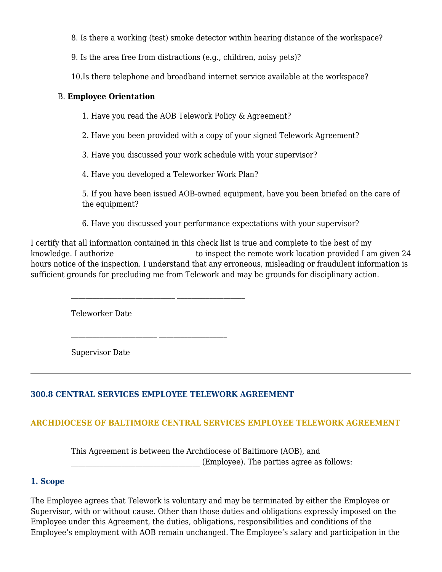8. Is there a working (test) smoke detector within hearing distance of the workspace?

9. Is the area free from distractions (e.g., children, noisy pets)?

10.Is there telephone and broadband internet service available at the workspace?

# B. **Employee Orientation**

1. Have you read the AOB Telework Policy & Agreement?

2. Have you been provided with a copy of your signed Telework Agreement?

3. Have you discussed your work schedule with your supervisor?

4. Have you developed a Teleworker Work Plan?

5. If you have been issued AOB-owned equipment, have you been briefed on the care of the equipment?

6. Have you discussed your performance expectations with your supervisor?

I certify that all information contained in this check list is true and complete to the best of my knowledge. I authorize the inspect the remote work location provided I am given 24 hours notice of the inspection. I understand that any erroneous, misleading or fraudulent information is sufficient grounds for precluding me from Telework and may be grounds for disciplinary action.

Teleworker Date

Supervisor Date

# **300.8 CENTRAL SERVICES EMPLOYEE TELEWORK AGREEMENT**

# **ARCHDIOCESE OF BALTIMORE CENTRAL SERVICES EMPLOYEE TELEWORK AGREEMENT**

This Agreement is between the Archdiocese of Baltimore (AOB), and \_\_\_\_\_\_\_\_\_\_\_\_\_\_\_\_\_\_\_\_\_\_\_\_\_\_\_\_\_\_\_\_\_\_\_\_ (Employee). The parties agree as follows:

# **1. Scope**

The Employee agrees that Telework is voluntary and may be terminated by either the Employee or Supervisor, with or without cause. Other than those duties and obligations expressly imposed on the Employee under this Agreement, the duties, obligations, responsibilities and conditions of the Employee's employment with AOB remain unchanged. The Employee's salary and participation in the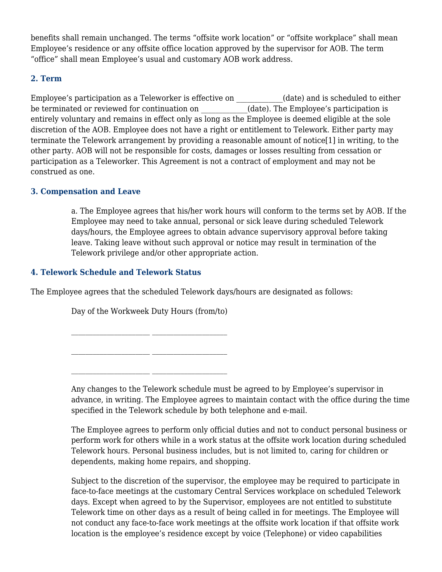benefits shall remain unchanged. The terms "offsite work location" or "offsite workplace" shall mean Employee's residence or any offsite office location approved by the supervisor for AOB. The term "office" shall mean Employee's usual and customary AOB work address.

# **2. Term**

Employee's participation as a Teleworker is effective on \_\_\_\_\_\_\_\_\_\_\_\_\_(date) and is scheduled to either be terminated or reviewed for continuation on  $\qquad \qquad$  (date). The Employee's participation is entirely voluntary and remains in effect only as long as the Employee is deemed eligible at the sole discretion of the AOB. Employee does not have a right or entitlement to Telework. Either party may terminate the Telework arrangement by providing a reasonable amount of notice[1] in writing, to the other party. AOB will not be responsible for costs, damages or losses resulting from cessation or participation as a Teleworker. This Agreement is not a contract of employment and may not be construed as one.

# **3. Compensation and Leave**

a. The Employee agrees that his/her work hours will conform to the terms set by AOB. If the Employee may need to take annual, personal or sick leave during scheduled Telework days/hours, the Employee agrees to obtain advance supervisory approval before taking leave. Taking leave without such approval or notice may result in termination of the Telework privilege and/or other appropriate action.

# **4. Telework Schedule and Telework Status**

The Employee agrees that the scheduled Telework days/hours are designated as follows:

Day of the Workweek Duty Hours (from/to)

Any changes to the Telework schedule must be agreed to by Employee's supervisor in advance, in writing. The Employee agrees to maintain contact with the office during the time specified in the Telework schedule by both telephone and e-mail.

The Employee agrees to perform only official duties and not to conduct personal business or perform work for others while in a work status at the offsite work location during scheduled Telework hours. Personal business includes, but is not limited to, caring for children or dependents, making home repairs, and shopping.

Subject to the discretion of the supervisor, the employee may be required to participate in face-to-face meetings at the customary Central Services workplace on scheduled Telework days. Except when agreed to by the Supervisor, employees are not entitled to substitute Telework time on other days as a result of being called in for meetings. The Employee will not conduct any face-to-face work meetings at the offsite work location if that offsite work location is the employee's residence except by voice (Telephone) or video capabilities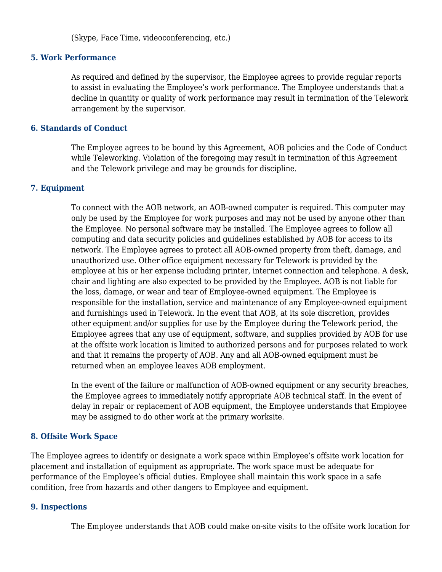(Skype, Face Time, videoconferencing, etc.)

## **5. Work Performance**

As required and defined by the supervisor, the Employee agrees to provide regular reports to assist in evaluating the Employee's work performance. The Employee understands that a decline in quantity or quality of work performance may result in termination of the Telework arrangement by the supervisor.

## **6. Standards of Conduct**

The Employee agrees to be bound by this Agreement, AOB policies and the Code of Conduct while Teleworking. Violation of the foregoing may result in termination of this Agreement and the Telework privilege and may be grounds for discipline.

## **7. Equipment**

To connect with the AOB network, an AOB-owned computer is required. This computer may only be used by the Employee for work purposes and may not be used by anyone other than the Employee. No personal software may be installed. The Employee agrees to follow all computing and data security policies and guidelines established by AOB for access to its network. The Employee agrees to protect all AOB-owned property from theft, damage, and unauthorized use. Other office equipment necessary for Telework is provided by the employee at his or her expense including printer, internet connection and telephone. A desk, chair and lighting are also expected to be provided by the Employee. AOB is not liable for the loss, damage, or wear and tear of Employee-owned equipment. The Employee is responsible for the installation, service and maintenance of any Employee-owned equipment and furnishings used in Telework. In the event that AOB, at its sole discretion, provides other equipment and/or supplies for use by the Employee during the Telework period, the Employee agrees that any use of equipment, software, and supplies provided by AOB for use at the offsite work location is limited to authorized persons and for purposes related to work and that it remains the property of AOB. Any and all AOB-owned equipment must be returned when an employee leaves AOB employment.

In the event of the failure or malfunction of AOB-owned equipment or any security breaches, the Employee agrees to immediately notify appropriate AOB technical staff. In the event of delay in repair or replacement of AOB equipment, the Employee understands that Employee may be assigned to do other work at the primary worksite.

# **8. Offsite Work Space**

The Employee agrees to identify or designate a work space within Employee's offsite work location for placement and installation of equipment as appropriate. The work space must be adequate for performance of the Employee's official duties. Employee shall maintain this work space in a safe condition, free from hazards and other dangers to Employee and equipment.

## **9. Inspections**

The Employee understands that AOB could make on-site visits to the offsite work location for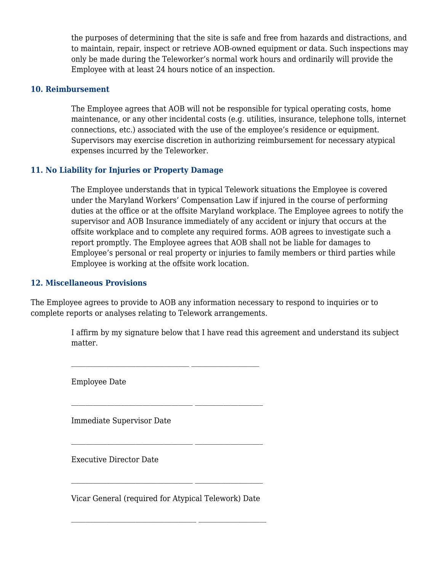the purposes of determining that the site is safe and free from hazards and distractions, and to maintain, repair, inspect or retrieve AOB-owned equipment or data. Such inspections may only be made during the Teleworker's normal work hours and ordinarily will provide the Employee with at least 24 hours notice of an inspection.

## **10. Reimbursement**

The Employee agrees that AOB will not be responsible for typical operating costs, home maintenance, or any other incidental costs (e.g. utilities, insurance, telephone tolls, internet connections, etc.) associated with the use of the employee's residence or equipment. Supervisors may exercise discretion in authorizing reimbursement for necessary atypical expenses incurred by the Teleworker.

# **11. No Liability for Injuries or Property Damage**

The Employee understands that in typical Telework situations the Employee is covered under the Maryland Workers' Compensation Law if injured in the course of performing duties at the office or at the offsite Maryland workplace. The Employee agrees to notify the supervisor and AOB Insurance immediately of any accident or injury that occurs at the offsite workplace and to complete any required forms. AOB agrees to investigate such a report promptly. The Employee agrees that AOB shall not be liable for damages to Employee's personal or real property or injuries to family members or third parties while Employee is working at the offsite work location.

## **12. Miscellaneous Provisions**

The Employee agrees to provide to AOB any information necessary to respond to inquiries or to complete reports or analyses relating to Telework arrangements.

> I affirm by my signature below that I have read this agreement and understand its subject matter.

Employee Date

Immediate Supervisor Date

Executive Director Date

Vicar General (required for Atypical Telework) Date